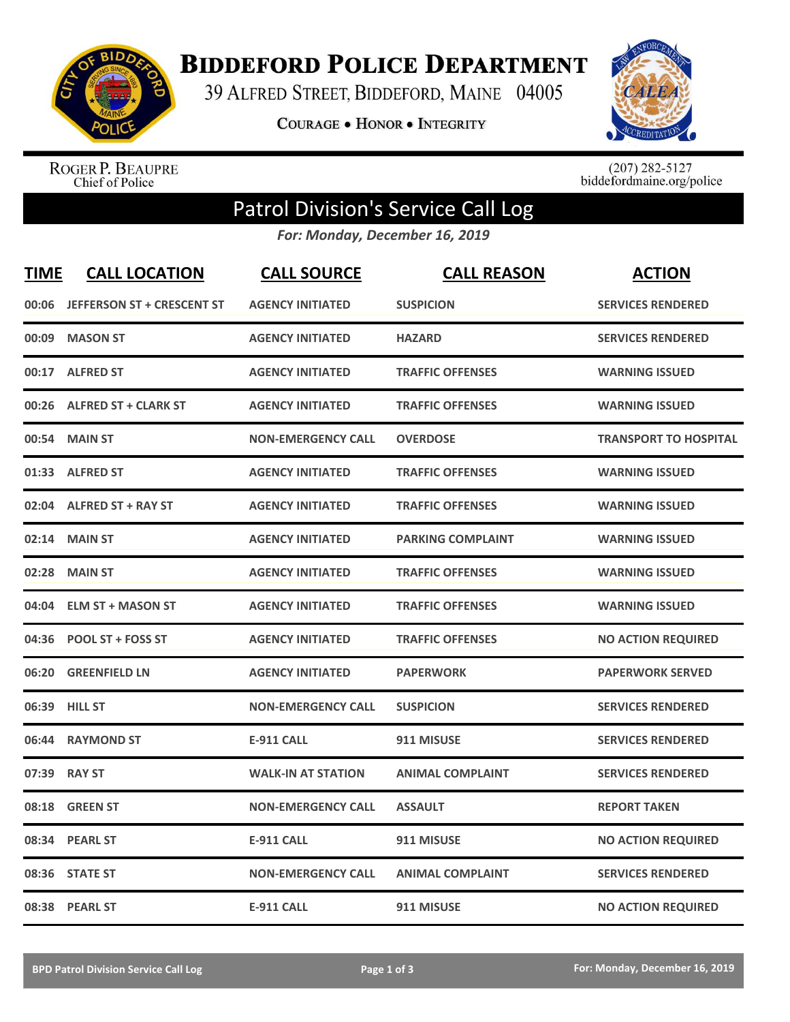

**BIDDEFORD POLICE DEPARTMENT** 

39 ALFRED STREET, BIDDEFORD, MAINE 04005

**COURAGE . HONOR . INTEGRITY** 



ROGER P. BEAUPRE<br>Chief of Police

 $(207)$  282-5127<br>biddefordmaine.org/police

## Patrol Division's Service Call Log

*For: Monday, December 16, 2019*

| <b>TIME</b> | <b>CALL LOCATION</b>              | <b>CALL SOURCE</b>        | <b>CALL REASON</b>       | <b>ACTION</b>                |
|-------------|-----------------------------------|---------------------------|--------------------------|------------------------------|
| 00:06       | <b>JEFFERSON ST + CRESCENT ST</b> | <b>AGENCY INITIATED</b>   | <b>SUSPICION</b>         | <b>SERVICES RENDERED</b>     |
| 00:09       | <b>MASON ST</b>                   | <b>AGENCY INITIATED</b>   | <b>HAZARD</b>            | <b>SERVICES RENDERED</b>     |
| 00:17       | <b>ALFRED ST</b>                  | <b>AGENCY INITIATED</b>   | <b>TRAFFIC OFFENSES</b>  | <b>WARNING ISSUED</b>        |
| 00:26       | <b>ALFRED ST + CLARK ST</b>       | <b>AGENCY INITIATED</b>   | <b>TRAFFIC OFFENSES</b>  | <b>WARNING ISSUED</b>        |
| 00:54       | <b>MAIN ST</b>                    | <b>NON-EMERGENCY CALL</b> | <b>OVERDOSE</b>          | <b>TRANSPORT TO HOSPITAL</b> |
|             | 01:33 ALFRED ST                   | <b>AGENCY INITIATED</b>   | <b>TRAFFIC OFFENSES</b>  | <b>WARNING ISSUED</b>        |
| 02:04       | <b>ALFRED ST + RAY ST</b>         | <b>AGENCY INITIATED</b>   | <b>TRAFFIC OFFENSES</b>  | <b>WARNING ISSUED</b>        |
| 02:14       | <b>MAIN ST</b>                    | <b>AGENCY INITIATED</b>   | <b>PARKING COMPLAINT</b> | <b>WARNING ISSUED</b>        |
| 02:28       | <b>MAIN ST</b>                    | <b>AGENCY INITIATED</b>   | <b>TRAFFIC OFFENSES</b>  | <b>WARNING ISSUED</b>        |
| 04:04       | <b>ELM ST + MASON ST</b>          | <b>AGENCY INITIATED</b>   | <b>TRAFFIC OFFENSES</b>  | <b>WARNING ISSUED</b>        |
|             | 04:36 POOL ST + FOSS ST           | <b>AGENCY INITIATED</b>   | <b>TRAFFIC OFFENSES</b>  | <b>NO ACTION REQUIRED</b>    |
| 06:20       | <b>GREENFIELD LN</b>              | <b>AGENCY INITIATED</b>   | <b>PAPERWORK</b>         | <b>PAPERWORK SERVED</b>      |
| 06:39       | <b>HILL ST</b>                    | <b>NON-EMERGENCY CALL</b> | <b>SUSPICION</b>         | <b>SERVICES RENDERED</b>     |
| 06:44       | <b>RAYMOND ST</b>                 | <b>E-911 CALL</b>         | 911 MISUSE               | <b>SERVICES RENDERED</b>     |
| 07:39       | <b>RAY ST</b>                     | <b>WALK-IN AT STATION</b> | <b>ANIMAL COMPLAINT</b>  | <b>SERVICES RENDERED</b>     |
| 08:18       | <b>GREEN ST</b>                   | <b>NON-EMERGENCY CALL</b> | <b>ASSAULT</b>           | <b>REPORT TAKEN</b>          |
| 08:34       | <b>PEARL ST</b>                   | <b>E-911 CALL</b>         | 911 MISUSE               | <b>NO ACTION REQUIRED</b>    |
| 08:36       | <b>STATE ST</b>                   | <b>NON-EMERGENCY CALL</b> | <b>ANIMAL COMPLAINT</b>  | <b>SERVICES RENDERED</b>     |
|             | 08:38 PEARL ST                    | <b>E-911 CALL</b>         | 911 MISUSE               | <b>NO ACTION REQUIRED</b>    |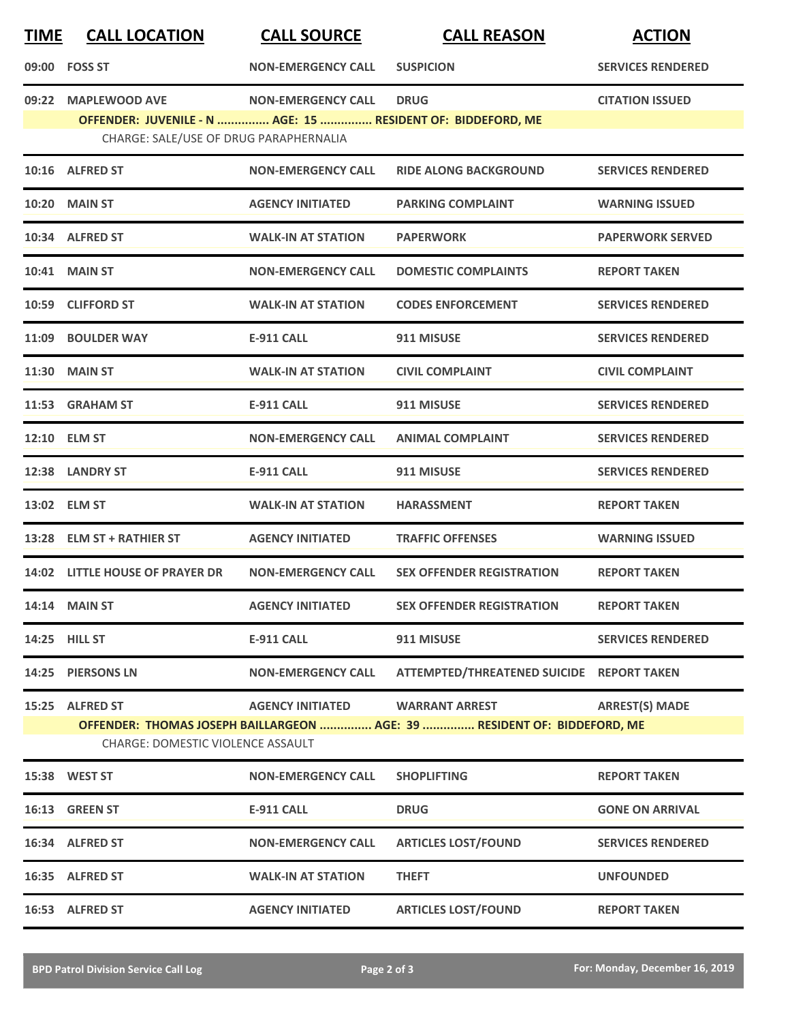| <u>TIME</u> | <b>CALL LOCATION</b>                                                                                  | <b>CALL SOURCE</b>        | <b>CALL REASON</b>                                                       | <b>ACTION</b>            |
|-------------|-------------------------------------------------------------------------------------------------------|---------------------------|--------------------------------------------------------------------------|--------------------------|
|             | 09:00 FOSS ST                                                                                         | <b>NON-EMERGENCY CALL</b> | <b>SUSPICION</b>                                                         | <b>SERVICES RENDERED</b> |
|             | 09:22 MAPLEWOOD AVE                                                                                   | <b>NON-EMERGENCY CALL</b> | <b>DRUG</b>                                                              | <b>CITATION ISSUED</b>   |
|             | OFFENDER: JUVENILE - N  AGE: 15  RESIDENT OF: BIDDEFORD, ME<br>CHARGE: SALE/USE OF DRUG PARAPHERNALIA |                           |                                                                          |                          |
|             | 10:16 ALFRED ST                                                                                       | <b>NON-EMERGENCY CALL</b> | <b>RIDE ALONG BACKGROUND</b>                                             | <b>SERVICES RENDERED</b> |
|             | <b>10:20 MAIN ST</b>                                                                                  | <b>AGENCY INITIATED</b>   | <b>PARKING COMPLAINT</b>                                                 | <b>WARNING ISSUED</b>    |
|             | 10:34 ALFRED ST                                                                                       | <b>WALK-IN AT STATION</b> | <b>PAPERWORK</b>                                                         | <b>PAPERWORK SERVED</b>  |
|             | <b>10:41 MAIN ST</b>                                                                                  | <b>NON-EMERGENCY CALL</b> | <b>DOMESTIC COMPLAINTS</b>                                               | <b>REPORT TAKEN</b>      |
|             | 10:59 CLIFFORD ST                                                                                     | <b>WALK-IN AT STATION</b> | <b>CODES ENFORCEMENT</b>                                                 | <b>SERVICES RENDERED</b> |
|             | 11:09 BOULDER WAY                                                                                     | <b>E-911 CALL</b>         | 911 MISUSE                                                               | <b>SERVICES RENDERED</b> |
|             | <b>11:30 MAIN ST</b>                                                                                  | <b>WALK-IN AT STATION</b> | <b>CIVIL COMPLAINT</b>                                                   | <b>CIVIL COMPLAINT</b>   |
|             | 11:53 GRAHAM ST                                                                                       | <b>E-911 CALL</b>         | 911 MISUSE                                                               | <b>SERVICES RENDERED</b> |
|             | 12:10 ELM ST                                                                                          | <b>NON-EMERGENCY CALL</b> | <b>ANIMAL COMPLAINT</b>                                                  | <b>SERVICES RENDERED</b> |
|             | 12:38 LANDRY ST                                                                                       | <b>E-911 CALL</b>         | 911 MISUSE                                                               | <b>SERVICES RENDERED</b> |
|             | 13:02 ELM ST                                                                                          | <b>WALK-IN AT STATION</b> | <b>HARASSMENT</b>                                                        | <b>REPORT TAKEN</b>      |
|             | 13:28 ELM ST + RATHIER ST                                                                             | <b>AGENCY INITIATED</b>   | <b>TRAFFIC OFFENSES</b>                                                  | <b>WARNING ISSUED</b>    |
|             | 14:02 LITTLE HOUSE OF PRAYER DR                                                                       | <b>NON-EMERGENCY CALL</b> | <b>SEX OFFENDER REGISTRATION</b>                                         | <b>REPORT TAKEN</b>      |
|             | <b>14:14 MAIN ST</b>                                                                                  | <b>AGENCY INITIATED</b>   | <b>SEX OFFENDER REGISTRATION</b>                                         | <b>REPORT TAKEN</b>      |
|             | 14:25 HILL ST                                                                                         | <b>E-911 CALL</b>         | 911 MISUSE                                                               | <b>SERVICES RENDERED</b> |
|             | 14:25 PIERSONS LN                                                                                     | <b>NON-EMERGENCY CALL</b> | ATTEMPTED/THREATENED SUICIDE REPORT TAKEN                                |                          |
|             | 15:25 ALFRED ST                                                                                       | <b>AGENCY INITIATED</b>   | <b>WARRANT ARREST</b>                                                    | <b>ARREST(S) MADE</b>    |
|             | CHARGE: DOMESTIC VIOLENCE ASSAULT                                                                     |                           | OFFENDER: THOMAS JOSEPH BAILLARGEON  AGE: 39  RESIDENT OF: BIDDEFORD, ME |                          |
|             | 15:38 WEST ST                                                                                         | <b>NON-EMERGENCY CALL</b> | <b>SHOPLIFTING</b>                                                       | <b>REPORT TAKEN</b>      |
|             | 16:13 GREEN ST                                                                                        | <b>E-911 CALL</b>         | <b>DRUG</b>                                                              | <b>GONE ON ARRIVAL</b>   |
|             | 16:34 ALFRED ST                                                                                       | <b>NON-EMERGENCY CALL</b> | <b>ARTICLES LOST/FOUND</b>                                               | <b>SERVICES RENDERED</b> |
|             | 16:35 ALFRED ST                                                                                       | <b>WALK-IN AT STATION</b> | <b>THEFT</b>                                                             | <b>UNFOUNDED</b>         |
|             | 16:53 ALFRED ST                                                                                       | <b>AGENCY INITIATED</b>   | <b>ARTICLES LOST/FOUND</b>                                               | <b>REPORT TAKEN</b>      |